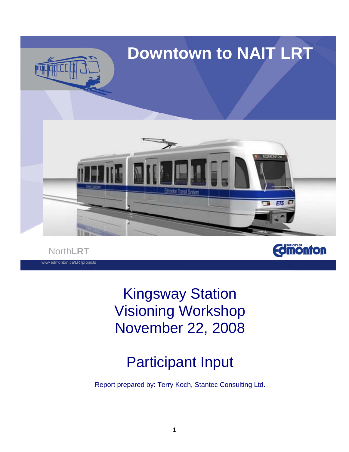

North**LRT** www.edmonton.ca/LRTprojects **Edmönton** 

Kingsway Station Visioning Workshop November 22, 2008

# Participant Input

Report prepared by: Terry Koch, Stantec Consulting Ltd.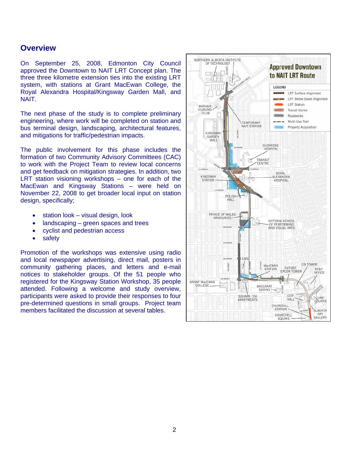## **Overview**

On September 25, 2008, Edmonton City Council approved the Downtown to NAIT LRT Concept plan. The three three kilometre extension ties into the existing LRT system, with stations at Grant MacEwan College, the Royal Alexandra Hospital/Kingsway Garden Mall, and NAIT.

The next phase of the study is to complete preliminary engineering, where work will be completed on station and bus terminal design, landscaping, architectural features, and mitigations for traffic/pedestrian impacts.

The public involvement for this phase includes the formation of two Community Advisory Committees (CAC) to work with the Project Team to review local concerns and get feedback on mitigation strategies. In addition, two LRT station visioning workshops – one for each of the MacEwan and Kingsway Stations – were held on November 22, 2008 to get broader local input on station design, specifically;

- station look visual design, look
- landscaping green spaces and trees
- cyclist and pedestrian access
- safety

Promotion of the workshops was extensive using radio and local newspaper advertising, direct mail, posters in community gathering places, and letters and e-mail notices to stakeholder groups. Of the 51 people who registered for the Kingsway Station Workshop, 35 people attended. Following a welcome and study overview, participants were asked to provide their responses to four pre-determined questions in small groups. Project team members facilitated the discussion at several tables.

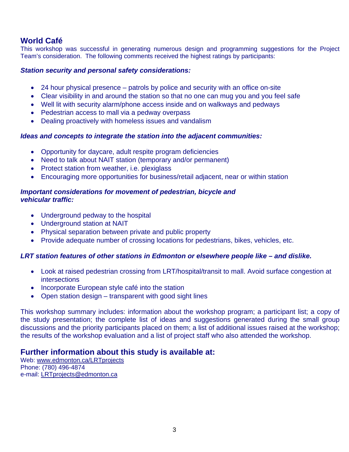# **World Café**

This workshop was successful in generating numerous design and programming suggestions for the Project Team's consideration. The following comments received the highest ratings by participants:

#### *Station security and personal safety considerations:*

- 24 hour physical presence patrols by police and security with an office on-site
- Clear visibility in and around the station so that no one can mug you and you feel safe
- Well lit with security alarm/phone access inside and on walkways and pedways
- Pedestrian access to mall via a pedway overpass
- Dealing proactively with homeless issues and vandalism

#### *Ideas and concepts to integrate the station into the adjacent communities:*

- Opportunity for daycare, adult respite program deficiencies
- Need to talk about NAIT station (temporary and/or permanent)
- Protect station from weather, i.e. plexiglass
- Encouraging more opportunities for business/retail adjacent, near or within station

## *Important considerations for movement of pedestrian, bicycle and vehicular traffic:*

- Underground pedway to the hospital
- Underground station at NAIT
- Physical separation between private and public property
- Provide adequate number of crossing locations for pedestrians, bikes, vehicles, etc.

## *LRT station features of other stations in Edmonton or elsewhere people like – and dislike.*

- Look at raised pedestrian crossing from LRT/hospital/transit to mall. Avoid surface congestion at **intersections**
- Incorporate European style café into the station
- Open station design transparent with good sight lines

This workshop summary includes: information about the workshop program; a participant list; a copy of the study presentation; the complete list of ideas and suggestions generated during the small group discussions and the priority participants placed on them; a list of additional issues raised at the workshop; the results of the workshop evaluation and a list of project staff who also attended the workshop.

## **Further information about this study is available at:**

Web: [www.edmonton.ca/LRTprojects](http://www.edmonton.ca/LRTprojects) Phone: (780) 496-4874 e-mail: [LRTprojects@edmonton.ca](mailto:LRTprojects@edmonton.ca)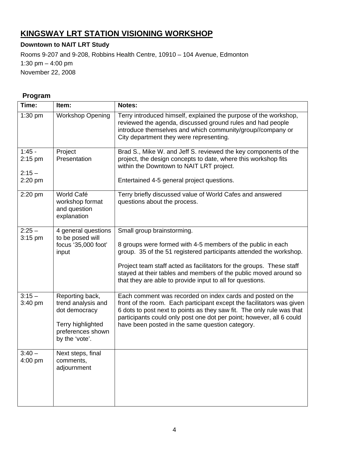# **KINGSWAY LRT STATION VISIONING WORKSHOP**

## **Downtown to NAIT LRT Study**

Rooms 9-207 and 9-208, Robbins Health Centre, 10910 – 104 Avenue, Edmonton 1:30 pm – 4:00 pm November 22, 2008

## **Program**

| Time:                                        | Item:                                                                                                              | Notes:                                                                                                                                                                                                                                                                                                                                                                   |
|----------------------------------------------|--------------------------------------------------------------------------------------------------------------------|--------------------------------------------------------------------------------------------------------------------------------------------------------------------------------------------------------------------------------------------------------------------------------------------------------------------------------------------------------------------------|
| 1:30 pm                                      | <b>Workshop Opening</b>                                                                                            | Terry introduced himself, explained the purpose of the workshop,<br>reviewed the agenda, discussed ground rules and had people<br>introduce themselves and which community/group//company or<br>City department they were representing.                                                                                                                                  |
| $1:45 -$<br>$2:15$ pm<br>$2:15 -$<br>2:20 pm | Project<br>Presentation                                                                                            | Brad S., Mike W. and Jeff S. reviewed the key components of the<br>project, the design concepts to date, where this workshop fits<br>within the Downtown to NAIT LRT project.<br>Entertained 4-5 general project questions.                                                                                                                                              |
| 2:20 pm                                      | World Café<br>workshop format<br>and question<br>explanation                                                       | Terry briefly discussed value of World Cafes and answered<br>questions about the process.                                                                                                                                                                                                                                                                                |
| $2:25 -$<br>$3:15$ pm                        | 4 general questions<br>to be posed will<br>focus '35,000 foot'<br>input                                            | Small group brainstorming.<br>8 groups were formed with 4-5 members of the public in each<br>group. 35 of the 51 registered participants attended the workshop.<br>Project team staff acted as facilitators for the groups. These staff<br>stayed at their tables and members of the public moved around so<br>that they are able to provide input to all for questions. |
| $3:15 -$<br>3:40 pm                          | Reporting back,<br>trend analysis and<br>dot democracy<br>Terry highlighted<br>preferences shown<br>by the 'vote'. | Each comment was recorded on index cards and posted on the<br>front of the room. Each participant except the facilitators was given<br>6 dots to post next to points as they saw fit. The only rule was that<br>participants could only post one dot per point; however, all 6 could<br>have been posted in the same question category.                                  |
| $3:40 -$<br>4:00 pm                          | Next steps, final<br>comments,<br>adjournment                                                                      |                                                                                                                                                                                                                                                                                                                                                                          |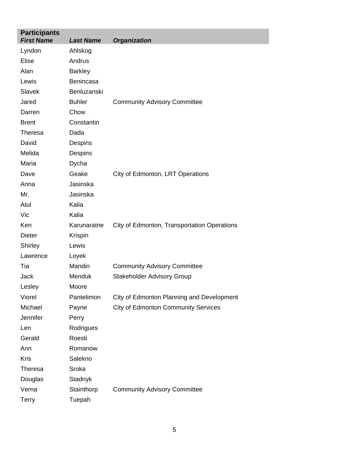| <b>Participants</b><br><b>First Name</b> | <b>Last Name</b> | <b>Organization</b>                         |
|------------------------------------------|------------------|---------------------------------------------|
| Lyndon                                   | Ahlskog          |                                             |
| <b>Elise</b>                             | Andrus           |                                             |
| Alan                                     | <b>Barkley</b>   |                                             |
| Lewis                                    | Benincasa        |                                             |
| Slavek                                   | Benluzanski      |                                             |
| Jared                                    | <b>Buhler</b>    | <b>Community Advisory Committee</b>         |
| Darren                                   | Chow             |                                             |
| <b>Brent</b>                             | Constantin       |                                             |
| <b>Theresa</b>                           | Dada             |                                             |
| David                                    | Despins          |                                             |
| Melida                                   | Despins          |                                             |
| Maria                                    | Dycha            |                                             |
| Dave                                     | Geake            | City of Edmonton, LRT Operations            |
| Anna                                     | Jasinska         |                                             |
| Mr.                                      | Jasinska         |                                             |
| Atul                                     | Kalia            |                                             |
| Vic                                      | Kalia            |                                             |
| Ken                                      | Karunaratne      | City of Edmonton, Transportation Operations |
| <b>Dieter</b>                            | Krispin          |                                             |
| Shirley                                  | Lewis            |                                             |
| Lawrence                                 | Loyek            |                                             |
| Tia                                      | Mandin           | <b>Community Advisory Committee</b>         |
| Jack                                     | Menduk           | <b>Stakeholder Advisory Group</b>           |
| Lesley                                   | Moore            |                                             |
| Viorel                                   | Pantelimon       | City of Edmonton Planning and Development   |
| Michael                                  | Payne            | <b>City of Edmonton Community Services</b>  |
| Jennifer                                 | Perry            |                                             |
| Len                                      | Rodrigues        |                                             |
| Gerald                                   | Roesti           |                                             |
| Ann                                      | Romanow          |                                             |
| <b>Kris</b>                              | Salekno          |                                             |
| Theresa                                  | Sroka            |                                             |
| Douglas                                  | Stadnyk          |                                             |
| Verna                                    | Stainthorp       | <b>Community Advisory Committee</b>         |
| <b>Terry</b>                             | Tuepah           |                                             |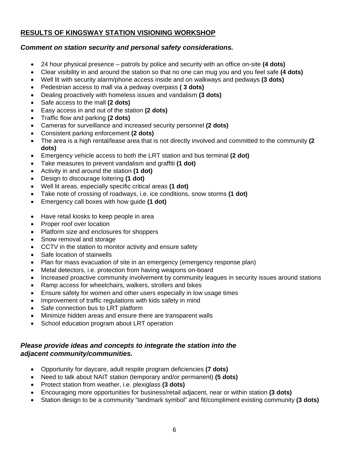## **RESULTS OF KINGSWAY STATION VISIONING WORKSHOP**

## *Comment on station security and personal safety considerations.*

- 24 hour physical presence patrols by police and security with an office on-site **(4 dots)**
- Clear visibility in and around the station so that no one can mug you and you feel safe **(4 dots)**
- Well lit with security alarm/phone access inside and on walkways and pedways **(3 dots)**
- Pedestrian access to mall via a pedway overpass **( 3 dots)**
- Dealing proactively with homeless issues and vandalism **(3 dots)**
- Safe access to the mall **(2 dots)**
- Easy access in and out of the station **(2 dots)**
- Traffic flow and parking **(2 dots)**
- Cameras for surveillance and increased security personnel **(2 dots)**
- Consistent parking enforcement **(2 dots)**
- The area is a high rental/lease area that is not directly involved and committed to the community **(2 dots)**
- Emergency vehicle access to both the LRT station and bus terminal **(2 dot)**
- Take measures to prevent vandalism and graffiti **(1 dot)**
- Activity in and around the station **(1 dot)**
- Design to discourage loitering **(1 dot)**
- Well lit areas, especially specific critical areas **(1 dot)**
- Take note of crossing of roadways, i.e. ice conditions, snow storms **(1 dot)**
- Emergency call boxes with how guide **(1 dot)**
- Have retail kiosks to keep people in area
- Proper roof over location
- Platform size and enclosures for shoppers
- Snow removal and storage
- CCTV in the station to monitor activity and ensure safety
- Safe location of stairwells
- Plan for mass evacuation of site in an emergency (emergency response plan)
- Metal detectors, i.e. protection from having weapons on-board
- Increased proactive community involvement by community leagues in security issues around stations
- Ramp access for wheelchairs, walkers, strollers and bikes
- Ensure safety for women and other users especially in low usage times
- Improvement of traffic regulations with kids safety in mind
- Safe connection bus to LRT platform
- Minimize hidden areas and ensure there are transparent walls
- School education program about LRT operation

## *Please provide ideas and concepts to integrate the station into the adjacent community/communities.*

- Opportunity for daycare, adult respite program deficiencies **(7 dots)**
- Need to talk about NAIT station (temporary and/or permanent) **(5 dots)**
- Protect station from weather, i.e. plexiglass **(3 dots)**
- Encouraging more opportunities for business/retail adjacent, near or within station **(3 dots)**
- Station design to be a community "landmark symbol" and fit/compliment existing community **(3 dots)**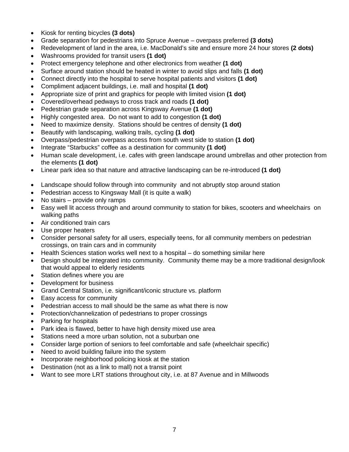- Kiosk for renting bicycles **(3 dots)**
- Grade separation for pedestrians into Spruce Avenue overpass preferred **(3 dots)**
- Redevelopment of land in the area, i.e. MacDonald's site and ensure more 24 hour stores **(2 dots)**
- Washrooms provided for transit users **(1 dot)**
- Protect emergency telephone and other electronics from weather **(1 dot)**
- Surface around station should be heated in winter to avoid slips and falls **(1 dot)**
- Connect directly into the hospital to serve hospital patients and visitors **(1 dot)**
- Compliment adjacent buildings, i.e. mall and hospital **(1 dot)**
- Appropriate size of print and graphics for people with limited vision **(1 dot)**
- Covered/overhead pedways to cross track and roads **(1 dot)**
- Pedestrian grade separation across Kingsway Avenue **(1 dot)**
- Highly congested area. Do not want to add to congestion **(1 dot)**
- Need to maximize density. Stations should be centres of density **(1 dot)**
- Beautify with landscaping, walking trails, cycling **(1 dot)**
- Overpass/pedestrian overpass access from south west side to station **(1 dot)**
- Integrate "Starbucks" coffee as a destination for community **(1 dot)**
- Human scale development, i.e. cafes with green landscape around umbrellas and other protection from the elements **(1 dot)**
- Linear park idea so that nature and attractive landscaping can be re-introduced **(1 dot)**
- Landscape should follow through into community and not abruptly stop around station
- Pedestrian access to Kingsway Mall (it is quite a walk)
- No stairs provide only ramps
- Easy well lit access through and around community to station for bikes, scooters and wheelchairs on walking paths
- Air conditioned train cars
- Use proper heaters
- Consider personal safety for all users, especially teens, for all community members on pedestrian crossings, on train cars and in community
- Health Sciences station works well next to a hospital do something similar here
- Design should be integrated into community. Community theme may be a more traditional design/look that would appeal to elderly residents
- Station defines where you are
- Development for business
- Grand Central Station, i.e. significant/iconic structure vs. platform
- Easy access for community
- Pedestrian access to mall should be the same as what there is now
- Protection/channelization of pedestrians to proper crossings
- Parking for hospitals
- Park idea is flawed, better to have high density mixed use area
- Stations need a more urban solution, not a suburban one
- Consider large portion of seniors to feel comfortable and safe (wheelchair specific)
- Need to avoid building failure into the system
- Incorporate neighborhood policing kiosk at the station
- Destination (not as a link to mall) not a transit point
- Want to see more LRT stations throughout city, i.e. at 87 Avenue and in Millwoods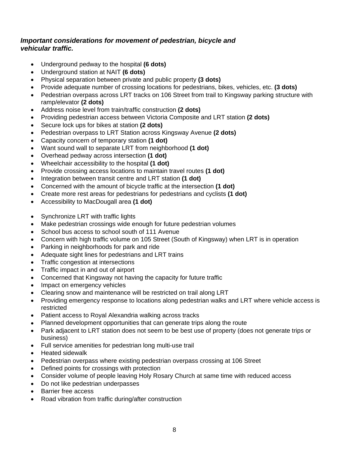## *Important considerations for movement of pedestrian, bicycle and vehicular traffic.*

- Underground pedway to the hospital **(6 dots)**
- Underground station at NAIT **(6 dots)**
- Physical separation between private and public property **(3 dots)**
- Provide adequate number of crossing locations for pedestrians, bikes, vehicles, etc. **(3 dots)**
- Pedestrian overpass across LRT tracks on 106 Street from trail to Kingsway parking structure with ramp/elevator **(2 dots)**
- Address noise level from train/traffic construction **(2 dots)**
- Providing pedestrian access between Victoria Composite and LRT station **(2 dots)**
- Secure lock ups for bikes at station **(2 dots)**
- Pedestrian overpass to LRT Station across Kingsway Avenue **(2 dots)**
- Capacity concern of temporary station **(1 dot)**
- Want sound wall to separate LRT from neighborhood **(1 dot)**
- Overhead pedway across intersection **(1 dot)**
- Wheelchair accessibility to the hospital **(1 dot)**
- Provide crossing access locations to maintain travel routes **(1 dot)**
- Integration between transit centre and LRT station (1 dot)
- Concerned with the amount of bicycle traffic at the intersection **(1 dot)**
- Create more rest areas for pedestrians for pedestrians and cyclists **(1 dot)**
- Accessibility to MacDougall area **(1 dot)**
- Synchronize LRT with traffic lights
- Make pedestrian crossings wide enough for future pedestrian volumes
- School bus access to school south of 111 Avenue
- Concern with high traffic volume on 105 Street (South of Kingsway) when LRT is in operation
- Parking in neighborhoods for park and ride
- Adequate sight lines for pedestrians and LRT trains
- Traffic congestion at intersections
- Traffic impact in and out of airport
- Concerned that Kingsway not having the capacity for future traffic
- Impact on emergency vehicles
- Clearing snow and maintenance will be restricted on trail along LRT
- Providing emergency response to locations along pedestrian walks and LRT where vehicle access is restricted
- Patient access to Royal Alexandria walking across tracks
- Planned development opportunities that can generate trips along the route
- Park adjacent to LRT station does not seem to be best use of property (does not generate trips or business)
- Full service amenities for pedestrian long multi-use trail
- Heated sidewalk
- Pedestrian overpass where existing pedestrian overpass crossing at 106 Street
- Defined points for crossings with protection
- Consider volume of people leaving Holy Rosary Church at same time with reduced access
- Do not like pedestrian underpasses
- Barrier free access
- Road vibration from traffic during/after construction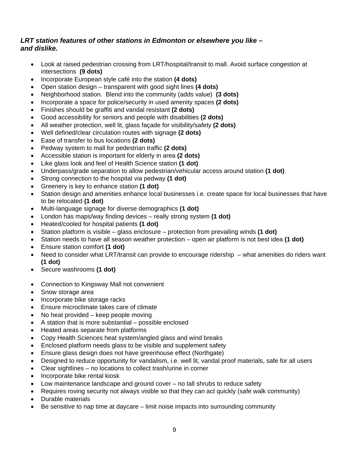## *LRT station features of other stations in Edmonton or elsewhere you like – and dislike.*

- Look at raised pedestrian crossing from LRT/hospital/transit to mall. Avoid surface congestion at intersections **(9 dots)**
- Incorporate European style café into the station **(4 dots)**
- Open station design transparent with good sight lines **(4 dots)**
- Neighborhood station. Blend into the community (adds value) **(3 dots)**
- Incorporate a space for police/security in used amenity spaces **(2 dots)**
- Finishes should be graffiti and vandal resistant **(2 dots)**
- Good accessibility for seniors and people with disabilities **(2 dots)**
- All weather protection, well lit, glass façade for visibility/safety **(2 dots)**
- Well defined/clear circulation routes with signage **(2 dots)**
- Ease of transfer to bus locations **(2 dots)**
- Pedway system to mall for pedestrian traffic **(2 dots)**
- Accessible station is important for elderly in area **(2 dots)**
- Like glass look and feel of Health Science station **(1 dot)**
- Underpass/grade separation to allow pedestrian/vehicular access around station **(1 dot)**
- Strong connection to the hospital via pedway **(1 dot)**
- Greenery is key to enhance station **(1 dot)**
- Station design and amenities enhance local businesses i.e. create space for local businesses that have to be relocated **(1 dot)**
- Multi-language signage for diverse demographics **(1 dot)**
- London has maps/way finding devices really strong system **(1 dot)**
- Heated/cooled for hospital patients **(1 dot)**
- Station platform is visible glass enclosure protection from prevailing winds **(1 dot)**
- Station needs to have all season weather protection open air platform is not best idea **(1 dot)**
- Ensure station comfort **(1 dot)**
- Need to consider what LRT/transit can provide to encourage ridership what amenities do riders want **(1 dot)**
- Secure washrooms **(1 dot)**
- Connection to Kingsway Mall not convenient
- Snow storage area
- Incorporate bike storage racks
- Ensure microclimate takes care of climate
- No heat provided keep people moving
- A station that is more substantial possible enclosed
- Heated areas separate from platforms
- Copy Health Sciences heat system/angled glass and wind breaks
- Enclosed platform needs glass to be visible and supplement safety
- Ensure glass design does not have greenhouse effect (Northgate)
- Designed to reduce opportunity for vandalism, i.e. well lit, vandal proof materials, safe for all users
- Clear sightlines no locations to collect trash/urine in corner
- Incorporate bike rental kiosk
- Low maintenance landscape and ground cover no tall shrubs to reduce safety
- Requires roving security not always visible so that they can act quickly (safe walk community)
- Durable materials
- Be sensitive to nap time at daycare limit noise impacts into surrounding community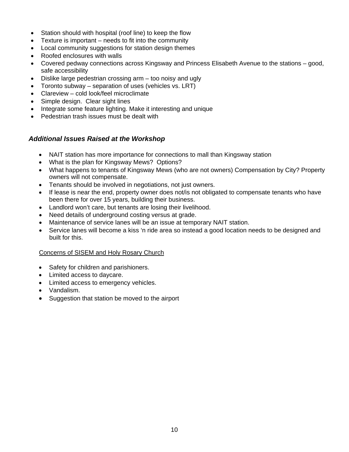- Station should with hospital (roof line) to keep the flow
- Texture is important needs to fit into the community
- Local community suggestions for station design themes
- Roofed enclosures with walls
- Covered pedway connections across Kingsway and Princess Elisabeth Avenue to the stations good, safe accessibility
- Dislike large pedestrian crossing arm too noisy and ugly
- Toronto subway separation of uses (vehicles vs. LRT)
- Clareview cold look/feel microclimate
- Simple design. Clear sight lines
- Integrate some feature lighting. Make it interesting and unique
- Pedestrian trash issues must be dealt with

## *Additional Issues Raised at the Workshop*

- NAIT station has more importance for connections to mall than Kingsway station
- What is the plan for Kingsway Mews? Options?
- What happens to tenants of Kingsway Mews (who are not owners) Compensation by City? Property owners will not compensate.
- Tenants should be involved in negotiations, not just owners.
- If lease is near the end, property owner does not/is not obligated to compensate tenants who have been there for over 15 years, building their business.
- Landlord won't care, but tenants are losing their livelihood.
- Need details of underground costing versus at grade.
- Maintenance of service lanes will be an issue at temporary NAIT station.
- Service lanes will become a kiss 'n ride area so instead a good location needs to be designed and built for this.

#### Concerns of SISEM and Holy Rosary Church

- Safety for children and parishioners.
- Limited access to daycare.
- Limited access to emergency vehicles.
- Vandalism.
- Suggestion that station be moved to the airport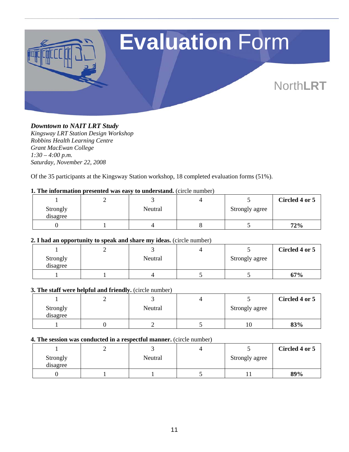![](_page_10_Picture_0.jpeg)

#### *Downtown to NAIT LRT Study*

*Kingsway LRT Station Design Workshop Robbins Health Learning Centre Grant MacEwan College 1:30 – 4:00 p.m. Saturday, November 22, 2008* 

Of the 35 participants at the Kingsway Station workshop, 18 completed evaluation forms (51%).

#### **1. The information presented was easy to understand.** (circle number)

|                      |         |                | Circled 4 or 5 |
|----------------------|---------|----------------|----------------|
| Strongly<br>disagree | Neutral | Strongly agree |                |
|                      |         |                | 72%            |

#### **2. I had an opportunity to speak and share my ideas.** (circle number)

|                      |         |                | Circled 4 or 5 |
|----------------------|---------|----------------|----------------|
| Strongly<br>disagree | Neutral | Strongly agree |                |
|                      |         |                | 67%            |

#### **3. The staff were helpful and friendly.** (circle number)

|                      | ∽ |         |                | Circled 4 or 5 |
|----------------------|---|---------|----------------|----------------|
| Strongly<br>disagree |   | Neutral | Strongly agree |                |
|                      |   |         | 10             | 83%            |

#### **4. The session was conducted in a respectful manner.** (circle number)

|                      |         |                | Circled 4 or 5 |
|----------------------|---------|----------------|----------------|
| Strongly<br>disagree | Neutral | Strongly agree |                |
|                      |         |                | 89%            |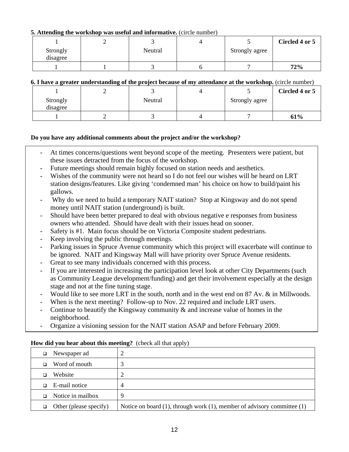#### **5. Attending the workshop was useful and informative.** (circle number)

|                      |         |                | Circled 4 or 5 |
|----------------------|---------|----------------|----------------|
| Strongly<br>disagree | Neutral | Strongly agree |                |
|                      |         |                | 72%            |

#### **6. I have a greater understanding of the project because of my attendance at the workshop.** (circle number)

|                      |         |                | Circled 4 or 5 |
|----------------------|---------|----------------|----------------|
| Strongly<br>disagree | Neutral | Strongly agree |                |
|                      |         |                | 61%            |

#### **Do you have any additional comments about the project and/or the workshop?**

- At times concerns/questions went beyond scope of the meeting. Presenters were patient, but these issues detracted from the focus of the workshop.
- Future meetings should remain highly focused on station needs and aesthetics.
- Wishes of the community were not heard so I do not feel our wishes will be heard on LRT station designs/features. Like giving 'condemned man' his choice on how to build/paint his gallows.
- Why do we need to build a temporary NAIT station? Stop at Kingsway and do not spend money until NAIT station (underground) is built.
- Should have been better prepared to deal with obvious negative e responses from business owners who attended. Should have dealt with their issues head on sooner.
- Safety is #1. Main focus should be on Victoria Composite student pedestrians.
- Keep involving the public through meetings.
- Parking issues in Spruce Avenue community which this project will exacerbate will continue to be ignored. NAIT and Kingsway Mall will have priority over Spruce Avenue residents.
- Great to see many individuals concerned with this process.
- If you are interested in increasing the participation level look at other City Departments (such as Community League development/funding) and get their involvement especially at the design stage and not at the fine tuning stage.
- Would like to see more LRT in the south, north and in the west end on 87 Av. & in Millwoods.
- When is the next meeting? Follow-up to Nov. 22 required and include LRT users.
- Continue to beautify the Kingsway community  $\&$  and increase value of homes in the neighborhood.
- Organize a visioning session for the NAIT station ASAP and before February 2009.

| Newspaper ad<br>$\Box$        |                                                                                 |
|-------------------------------|---------------------------------------------------------------------------------|
| Word of mouth                 |                                                                                 |
| Website                       |                                                                                 |
| E-mail notice<br>$\Box$       | 4                                                                               |
| Notice in mailbox             | Q                                                                               |
| $\Box$ Other (please specify) | Notice on board $(1)$ , through work $(1)$ , member of advisory committee $(1)$ |

#### **How did you hear about this meeting?** (check all that apply)